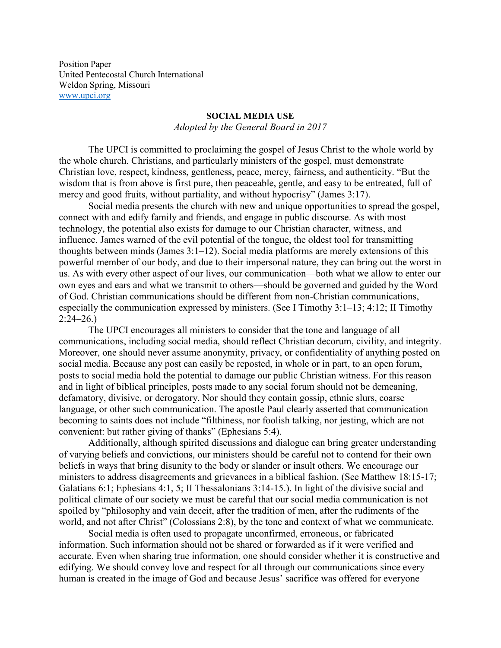Position Paper United Pentecostal Church International Weldon Spring, Missouri [www.upci.org](http://www.upci.org/)

## **SOCIAL MEDIA USE**

*Adopted by the General Board in 2017*

The UPCI is committed to proclaiming the gospel of Jesus Christ to the whole world by the whole church. Christians, and particularly ministers of the gospel, must demonstrate Christian love, respect, kindness, gentleness, peace, mercy, fairness, and authenticity. "But the wisdom that is from above is first pure, then peaceable, gentle, and easy to be entreated, full of mercy and good fruits, without partiality, and without hypocrisy" (James 3:17).

Social media presents the church with new and unique opportunities to spread the gospel, connect with and edify family and friends, and engage in public discourse. As with most technology, the potential also exists for damage to our Christian character, witness, and influence. James warned of the evil potential of the tongue, the oldest tool for transmitting thoughts between minds (James 3:1–12). Social media platforms are merely extensions of this powerful member of our body, and due to their impersonal nature, they can bring out the worst in us. As with every other aspect of our lives, our communication—both what we allow to enter our own eyes and ears and what we transmit to others—should be governed and guided by the Word of God. Christian communications should be different from non-Christian communications, especially the communication expressed by ministers. (See I Timothy 3:1–13; 4:12; II Timothy  $2:24-26.$ 

The UPCI encourages all ministers to consider that the tone and language of all communications, including social media, should reflect Christian decorum, civility, and integrity. Moreover, one should never assume anonymity, privacy, or confidentiality of anything posted on social media. Because any post can easily be reposted, in whole or in part, to an open forum, posts to social media hold the potential to damage our public Christian witness. For this reason and in light of biblical principles, posts made to any social forum should not be demeaning, defamatory, divisive, or derogatory. Nor should they contain gossip, ethnic slurs, coarse language, or other such communication. The apostle Paul clearly asserted that communication becoming to saints does not include "filthiness, nor foolish talking, nor jesting, which are not convenient: but rather giving of thanks" (Ephesians 5:4).

Additionally, although spirited discussions and dialogue can bring greater understanding of varying beliefs and convictions, our ministers should be careful not to contend for their own beliefs in ways that bring disunity to the body or slander or insult others. We encourage our ministers to address disagreements and grievances in a biblical fashion. (See Matthew 18:15-17; Galatians 6:1; Ephesians 4:1, 5; II Thessalonians 3:14-15.). In light of the divisive social and political climate of our society we must be careful that our social media communication is not spoiled by "philosophy and vain deceit, after the tradition of men, after the rudiments of the world, and not after Christ" (Colossians 2:8), by the tone and context of what we communicate.

Social media is often used to propagate unconfirmed, erroneous, or fabricated information. Such information should not be shared or forwarded as if it were verified and accurate. Even when sharing true information, one should consider whether it is constructive and edifying. We should convey love and respect for all through our communications since every human is created in the image of God and because Jesus' sacrifice was offered for everyone